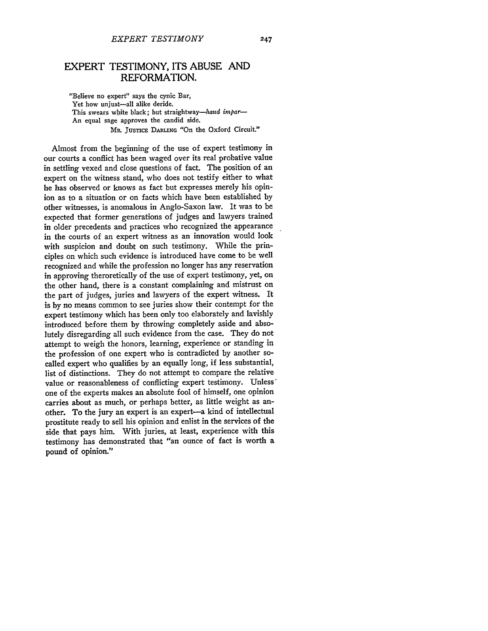## EXPERT **TESTIMONY, ITS ABUSE AND** REFORMATION.

"Believe no expert" says the cynic Bar, Yet how unjust-all alike deride. This swears white black; but straightway-haud *impar*-An equal sage approves the candid side. MR. JUSTICE DARLING "On the Oxford Circuit."

Almost from the beginning of the use of expert testimony in our courts a conflict has been waged over its real probative value in settling vexed and close questions of fact. The position of an expert on the witness stand, who does not testify either to what he has observed or knows as fact but expresses merely his opinion as to a situation or on facts which have been established by other witnesses, is anomalous in Anglo-Saxon law. It was to be expected that former generations of judges and lawyers trained in older precedents and practices who recognized the appearance in the courts of an expert witness as an innovation would look with suspicion and doubt on such testimony. While the principles on which such evidence is introduced have come to be well recognized and while the profession no longer has any reservation in approving theroretically of the use of expert testimony, yet, on the other hand, there is a constant complaining and mistrust on the part of judges, juries and lawyers of the expert witness. It is by no means common to see juries show their contempt for the expert testimony which has been only too elaborately and lavishly introduced before them by throwing completely aside and absolutely disregarding all such evidence from the case. They do not attempt to weigh the honors, learning, experience or standing in the profession of one expert who is contradicted by another socalled expert who qualifies by an equally long, if less substantial, list of distinctions. They do not attempt to compare the relative value or reasonableness of conflicting expert testimony. Unless' one of the experts makes an absolute fool of himself, one opinion carries about as much, or perhaps better, as little weight as another. To the jury an expert is an expert-a kind of intellectual prostitute ready to sell his opinion and enlist in the services of the side that pays him. With juries, at least, experience with this testimony has demonstrated that "an ounce of fact is worth a pound of opinion."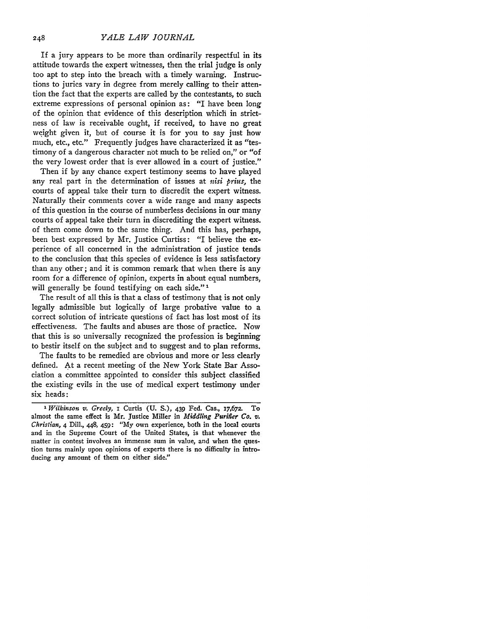If a jury appears to be more than ordinarily respectful in its attitude towards the expert witnesses, then the trial judge is only too apt to step into the breach with a timely warning. Instructions to juries vary in degree from merely calling to their attention the fact that the experts are called by the contestants, to such extreme expressions of personal opinion as: "I have been long of the opinion that evidence of this description which in strictness of law is receivable ought, if received, to have no great weight given it, but of course it is for you to say just how much, etc., etc." Frequently judges have characterized it as "testimony of a dangerous character not much to be relied on," or "of the very lowest order that is ever allowed in a court of justice."

Then if **by** any chance expert testimony seems to have played any real part in the determination of issues at *nisi prius,* the courts of appeal take their turn to discredit the expert witness. Naturally their comments cover a wide range and many aspects of this question in the course of numberless decisions in our many courts of appeal take their turn in discrediting the expert witness. of them come down to the same thing. And this has, perhaps, been best expressed by Mr. Justice Curtiss: "I believe the experience of all concerned in the administration of justice tends to the conclusion that this species of evidence is less satisfactory than any other; and it is common remark that when there is any room for a difference of opinion, experts in about equal numbers, will generally be found testifying on each side."<sup>1</sup>

The result of all this is that a class of testimony that is not only legally admissible but logically of large probative value to a correct solution of intricate questions of fact has lost most of its effectiveness. The faults and abuses are those of practice. Now that this is so universally recognized the profession is beginning to bestir itself on the subject and to suggest and to plan reforms.

The faults to be remedied are obvious and more or less clearly defined. At a recent meeting of the New York State Bar Association a committee appointed to consider this subject classified the existing evils in the use of medical expert testimony under six heads:

*I Wilkinson v. Greely,* i Curtis **(U.** S.), 439 Fed. Cas., 17,672. To almost the same effect is Mr. Justice Miller in *Middling Purifier Co. v. Christian,* 4 Dill., 448, 459: "My own experience, both in the local courts and in the Supreme Court of the United States, is that whenever the matter in contest involves an immense sum in value, and when the question turns mainly upon opinions of experts there is no difficulty in introducing any amount of them on either side."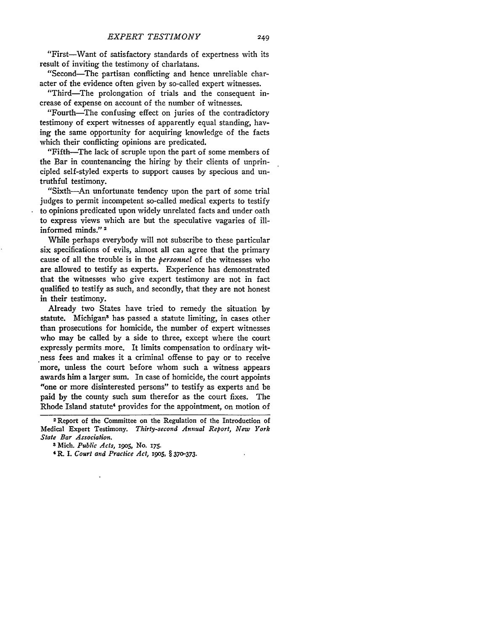"First-Want of satisfactory standards of expertness with its result of inviting the testimony of charlatans.

"Second-The partisan conflicting and hence unreliable character of the evidence often given **by** so-called expert witnesses.

"Third-The prolongation of trials and the consequent increase of expense on account of the number of witnesses.

"Fourth-The confusing effect on juries of the contradictory testimony of expert witnesses of apparently equal standing, having the same opportunity for acquiring knowledge of the facts which their conflicting opinions are predicated.

"Fifth-The lack of scruple upon the part of some members of the Bar in countenancing the hiring by their clients of unprincipled self-styled experts to support causes by specious and untruthful testimony.

"Sixth-An unfortunate tendency upon the part of some trial judges to permit incompetent so-called medical experts to testify to opinions predicated upon widely unrelated facts and under oath to express views which are but the speculative vagaries of illinformed minds." <sup>2</sup>

While perhaps everybody will not subscribe to these particular six specifications of evils, almost all can agree that the primary cause of all the trouble is in the *personnel* of the witnesses who are allowed to testify as experts. Experience has demonstrated that the witnesses who give expert testimony are not in fact qualified to testify as such, and secondly, that they are not honest in their testimony.

Already two States have tried to remedy the situation by statute. Michigan<sup>s</sup> has passed a statute limiting, in cases other than prosecutions for homicide, the number of expert witnesses who may be called by a side to three, except where the court expressly permits more. It limits compensation to ordinary witness fees and makes it a criminal offense to pay or to receive more, unless the court before whom such a witness appears awards him a larger sum. In case of homicide, the court appoints "one or more disinterested persons" to testify as experts and be paid by the county such sum therefor as the court fixes. The Rhode Island statute<sup>4</sup> provides for the appointment, on motion of

 $\ddot{\phantom{0}}$ 

**<sup>2</sup> Report** of the Committee on the Regulation of the Introduction of Medical Expert Testimony. *Thirty-second Annual Report, New York State Bar Association.*

**<sup>3</sup>**Mich. *Public Acts,* **i9o5,** No. **175.**

<sup>4</sup> R. I. *Court and Practice Act,* **19o5,** § **370-373.**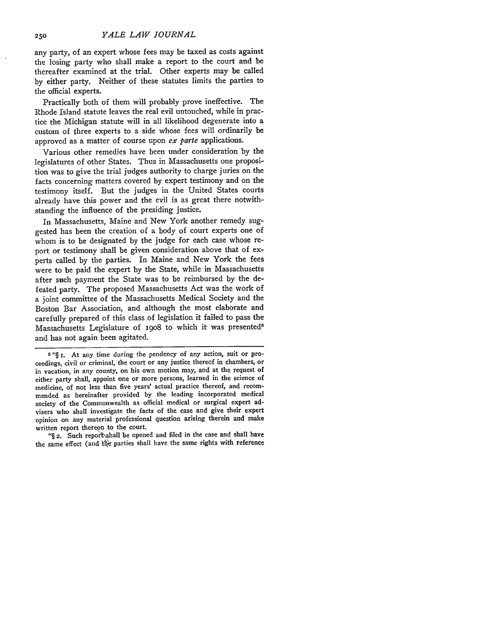any party, of an expert whose fees may be taxed as costs against the losing party who shall make a report to the court and be thereafter examined at the trial. Other experts may be called by either party. Neither of these statutes limits the parties to the official experts.

Practically both of them will probably prove ineffective. The Rhode Island statute leaves the real evil untouched, while in practice the Michigan statute will in all likelihood degenerate into a custom of three experts to a side whose fees will ordinarily be approved as a matter of course upon *ex parte* applications.

Various other remedies have been under consideration **by** the legislatures of other States. Thus in Massachusetts one proposition was to give the trial judges authority to charge juries on the facts concerning matters covered by expert testimony and on the testimony itself. But the judges in the United States courts already have this power and the evil is as great there notwithstanding the influence of the presiding justice.

In Massachusetts, Maine and New York another remedy suggested has been the creation of a body of court experts one of whom is to be designated by the judge for each case whose report or testimony shall be given consideration above that of experts called by the parties. In Maine and New York the fees were to be paid the expert by the State, while in Massachusetts after such payment the State was to be reimbursed by the defeated party. The proposed Massachusetts Act was the work of a joint committee of the Massachusetts Medical Society and the Boston Bar Association, and although the most elaborate and carefully prepared of this class of legislation it failed to pass the Massachusetts Legislature of 1908 to which it was presented<sup>5</sup> and has not again been agitated.

**5 "§ i.** At any time during the pendency of any action, suit or proceedings, civil or criminal, the court or any justice thereof in chambers, or in vacation, in any county, on his own motion may, and at the request of either party shall, appoint one or more persons, learned in the science of medicine, of not less than five years' actual practice thereof, and recommended as hereinafter provided by the leading incorporated medical society of the Commonwealth as official medical or surgical expert advisers who shall investigate the facts of the case and give their expert opinion on any material professional question arising therein and make written report thereon to the court.

"§ 2. Such report\shall be opened and filed in the case and shall have the same effect (and the parties shall have the same rights with reference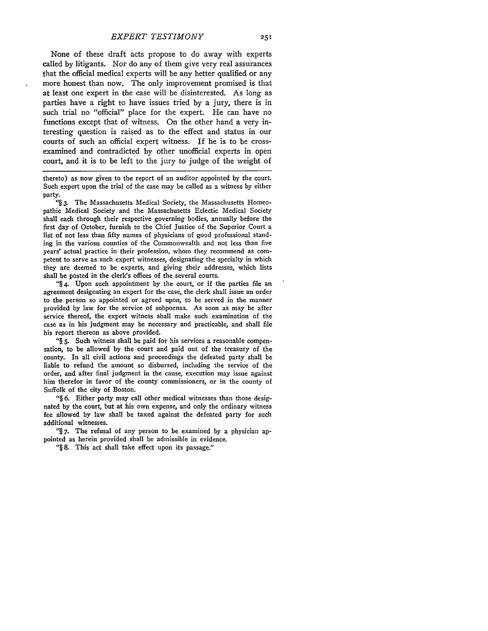None of these draft acts propose to do away with experts called **by** litigants. Nor do any of them give very real assurances that the official medical experts will be any better qualified or any more honest than now. The only improvement promised is that at least one expert in the case will be disinterested. As long as parties have a right to have issues tried **by** a jury, there is in such trial no "official" place for the expert. He can have no functions except that of witness. On the other hand a very interesting question is raised as to the effect and status in our courts of such an official expert witness. If he is to be crossexamined and contradicted **by** other unofficial experts in open court, and it is to be left to the jury to judge of the weight of

thereto) as now given to the report of an auditor appointed by the court. Such expert upon the trial of the case may be called as a witness by either party.

"§ **3.** The Massachusetts Medical Society, the Massachusetts Homeopathic Medical Society and the Massachusetts Eclectic Medical Society shall each through their respective governing bodies, annually before the first day of October, furnish to the Chief Justice of the Superior Court a list of not less than fifty names of physicians of good professional standing in the various counties of the Commonwealth and not less than five years' actual practice in their profession, whom they recommend as competent to serve as such expert witnesses, designating the specialty in which they are deemed to be experts, and giving their addresses, which lists shall be posted in the clerk's offices of the several courts.

*"§* 4. Upon such appointment by the court, or if the parties file an agreement designating an expert for the case, the clerk shall issue an order to the person so appointed or agreed upon, to be served in the manner provided by law for the service of subpoenas. As soon as may be after service thereof, the expert witness shall make such examination of the case as in his judgment may be necessary and practicable, and shall file his report thereon as above provided.

*"§* **5.** Such witness shall be paid for his services a reasonable compensation, to be allowed by the court and paid out of the treasury of the county. In all civil actions and proceedings the defeated party shall be liable to refund the amount so disbursed, including the service of the order, and after final judgment in the cause, execution may issue against him therefor in favor of the county commissioners, or in the county of Suffolk of the city of Boston.

"§ 6. Either party may call other medical witnesses than those designated by the court, but at his own expense, and only the ordinary witness fee allowed by law shall be taxed against the defeated party for such additional witnesses.

**"§7.** The refusal of any person to be examined by a physician appointed as herein provided shall be admissible in evidence.

"§ **8.** This act shall take effect upon its passage."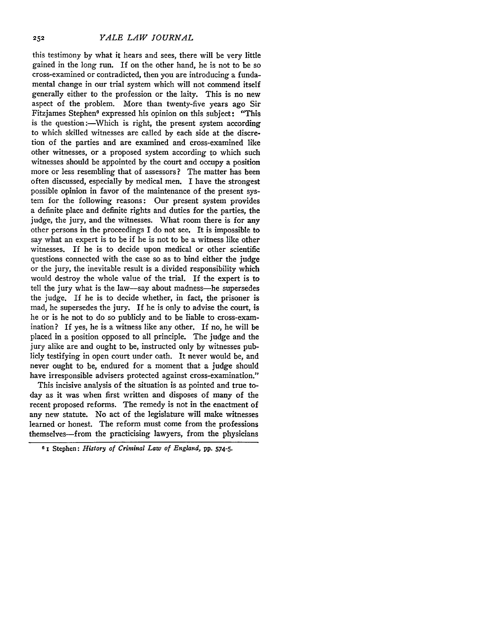this testimony **by** what it hears and sees, there will be very little gained in the long run. If on the other hand, he is not to be so cross-examined or contradicted, then you are introducing a fundamental change in our trial system which will not commend itself generally either to the profession or the laity. This is no new aspect of the problem. More than twenty-five years ago Sir Fitzjames Stephen<sup>6</sup> expressed his opinion on this subject: "This is the question :- Which is right, the present system according to which skilled witnesses are called **by** each side at the discretion of the parties and are examined and cross-examined like other witnesses, or a proposed system according to which such witnesses should be appointed **by** the court and occupy a position more or less resembling that of assessors? The matter has been often discussed, especially **by** medical men. I have the strongest possible opinion in favor of the maintenance of the present system for the following reasons: Our present system provides a definite place and definite rights and duties for the parties, the judge, the jury, and the witnesses. What room there is for any other persons in the proceedings I do not see. It is impossible to say what an expert is to be if he is not to be a witness like other witnesses. **If** he is to decide upon medical or other scientific questions connected with the case so as to bind either the judge or the jury, the inevitable result is a divided responsibility which would destroy the whole value of the trial. If the expert is to tell the jury what is the law—say about madness—he supersedes the judge. If he is to decide whether, in fact, the prisoner is mad, he supersedes the jury. If he is only to advise the court, is he or is he not to do so publicly and to be liable to cross-examination? If yes, he is a witness like any other. If no, he will be placed in a position opposed to all principle. The judge and the jury alike are and ought to be, instructed only **by** witnesses publicly testifying in open court under oath. It never would be, and never ought to be, endured for a moment that a judge should have irresponsible advisers protected against cross-examination."

This incisive analysis of the situation is as pointed and true today as it was when first written and disposes of many of the recent proposed reforms. The remedy is not in the enactment of any new statute. No act of the legislature will make witnesses learned or honest. The reform must come from the professions themselves-from the practicising lawyers, from the physicians

**<sup>6</sup>** *x* Stephen: *History of Criminal Law of England,* **pp.** 574-5.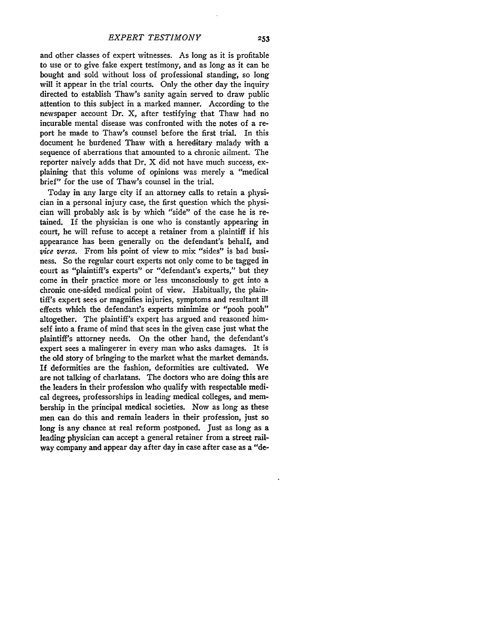and other classes of expert witnesses. As long as it is profitable to use or to give fake expert testimony, and as long as it can be bought and sold without loss of professional standing, so long will it appear in the trial courts. Only the other day the inquiry directed to establish Thaw's sanity again served to draw public attention to this subject in a marked manner. According to the newspaper account Dr. X, after testifying that Thaw had no incurable mental disease was confronted with the notes of a report he made to Thaw's counsel before the first trial. In this document he burdened Thaw with a hereditary malady with a sequence of aberrations that amounted to a chronic ailment. The reporter naively adds that Dr. X did not have much success, explaining that this volume of opinions was merely a "medical brief" for the use of Thaw's counsel in the trial.

Today in any large city if an attorney calls to retain a physician in a personal injury case, the first question which the physician will probably ask is **by** which "side" of the case he is retained. If the physician is one who is constantly appearing in court, he will refuse to accept a retainer from a plaintiff if his appearance has been generally on the defendant's behalf, and vice versa. From his point of view to mix "sides" is bad business. So the regular court experts not only come to be tagged in court as "plaintiff's experts" or "defendant's experts," but they come in their practice more or less unconsciously to get into a chronic one-sided medical point of view. Habitually, the plaintiff's expert sees or magnifies injuries, symptoms and resultant ill effects which the defendant's experts minimize or "pooh pooh" altogether. The plaintiff's expert has argued and reasoned himself into a frame of mind that sees in the given case just what the plaintiff's attorney needs. On the other hand, the defendant's expert sees a malingerer in every man who asks damages. It is the old story of bringing to the market what the market demands. If deformities are the fashion, deformities are cultivated. We are not talking of charlatans. The doctors who are doing this are the leaders in their profession who qualify with respectable medical degrees, professorships in leading medical colleges, and membership in the principal medical societies. Now as long as these men can do this and remain leaders in their profession, just so long is any chance at real reform postponed. Just as long as a leading physician can accept a general retainer from a street railway company and appear day after day in case after case as a "de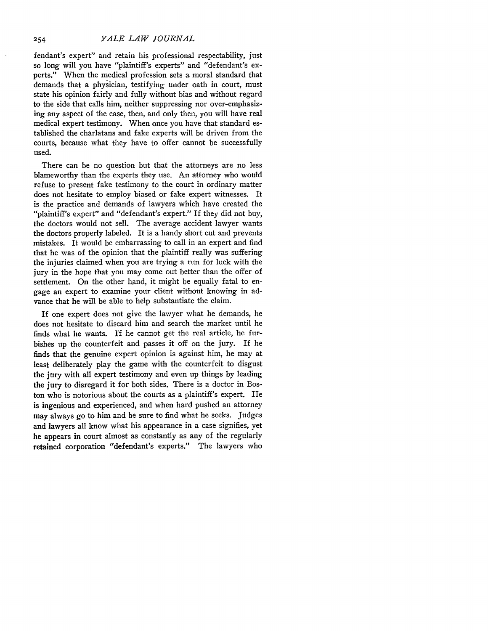*YALE LAW JOURNAL*

fendant's expert" and retain his professional respectability, just so long will you have "plaintiff's experts" and "defendant's experts." When the medical profession sets a moral standard that demands that a physician, testifying under oath in court, must state his opinion fairly and fully without bias and without regard to the side that calls him, neither suppressing nor over-emphasizing any aspect of the case, then, and only then, you will have real medical expert testimony. When once you have that standard established the charlatans and fake experts will be driven from the courts, because what they have to offer cannot be successfully used.

There can be no question but that the attorneys are no less blameworthy than the experts they use. An attorney who would refuse to present fake testimony to the court in ordinary matter does not hesitate to employ biased or fake expert witnesses. It is the practice and demands of lawyers which have created the "plaintiff's expert" and "defendant's expert." If they did not buy, the doctors would not sell. The average accident lawyer wants the doctors properly labeled. It is a handy short cut and prevents mistakes. It would be embarrassing to call in an expert and find that he was of the opinion that the plaintiff really was suffering the injuries claimed when you are trying a run for luck with the jury in the hope that you may come out better than the offer of settlement. On the other hand, it might be equally fatal to engage an expert to examine your client without knowing in advance that he will be able to help substantiate the claim.

If one expert does not give the lawyer what he demands, he does not hesitate to discard him and search the market until he finds what he wants. **]'f** he cannot get the real article, he furbishes up the counterfeit and passes it off on the jury. If he finds that the genuine expert opinion is against him, he may at least deliberately play the game with the counterfeit to disgust the jury with all expert testimony and even up things by leading the jury to disregard it for both sides. There is a doctor in Boston who is notorious about the courts as a plaintiff's expert. He is ingenious and experienced, and when hard pushed an attorney may always go to him and be sure to find what he seeks. Judges and lawyers all know what his appearance in a case signifies, yet he appears in court almost as constantly as any of the regularly retained corporation "defendant's experts." The lawyers who

254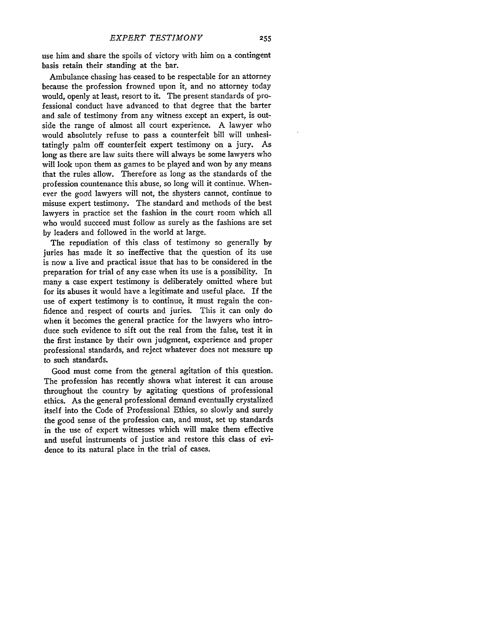use him and share the spoils of victory with him on a contingent basis retain their standing at the bar.

Ambulance chasing has- ceased to be respectable for an attorney because the profession frowned upon it, and no attorney today would, openly at least, resort to it. The present standards of professional conduct have advanced to that degree that the barter and sale of testimony from any witness except an expert, is outside the range of almost all court experience. A lawyer who would absolutely refuse to pass a counterfeit bill will unhesitatingly palm off counterfeit expert testimony on a jury. As long as there are law suits there will always be some lawyers who will look upon them as games to be played and won by any means that the rules allow. Therefore as long as the standards of the profession countenance this abuse, so long will it continue. Whenever the good lawyers will not, the shysters cannot, continue to misuse expert testimony. The standard and methods of the best lawyers in practice set the fashion in the court room which all who would succeed must follow as surely as the fashions are set by leaders and followed in the world at large.

The repudiation of this class of testimony so generally by juries has made it so ineffective that the question of its use is now a live and practical issue that has to be considered in the preparation for trial of any case when its use is a possibility. In many a case expert testimony is deliberately omitted where but for its abuses it would have a legitimate and useful place. If the use of expert testimony is to continue, it must regain the confidence and respect of courts and juries. This it can only do when it becomes the general practice for the lawyers who introduce such evidence to sift out the real from the false, test it in the first instance by their own judgment, experience and proper professional standards, and reject whatever does not measure up to such standards.

Good must come from the general agitation of this question. The profession has recently shown what interest it can arouse throughout the country by agitating questions of professional ethics. As the general professional demand eventually crystalized itself into the Code of Professional Ethics, so slowly and surely the good sense of the profession can, and must, set up standards in the use of expert witnesses which will make them effective and useful instruments of justice and restore this class of evidence to its natural place in the trial of cases.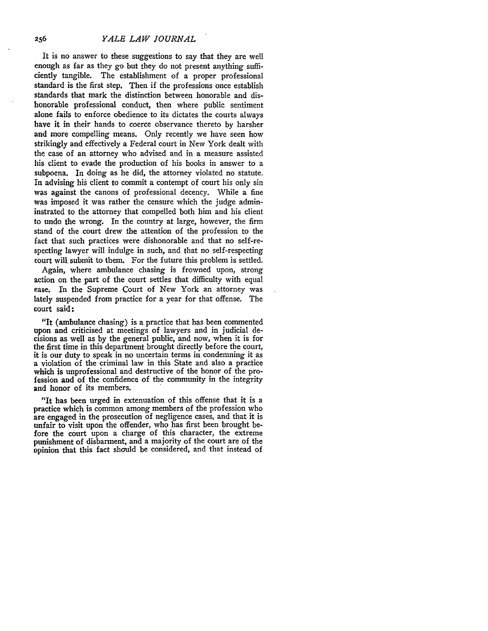It is no answer to these suggestions to say that they are well enough as far as they go but they do not present anything sufficiently tangible. The establishment of a proper professional standard is the first step. Then if the professions once establish standards that mark the distinction between honorable and dishonorable professional conduct, then where public sentiment alone fails to enforce obedience to its dictates the courts always have it in their hands to coerce observance thereto by harsher and more compelling means. Only recently we have seen how strikingly and effectively a Federal court in New York dealt with the case of an attorney who advised and in a measure assisted his client to evade the production of his books in answer to a subpoena. In doing as he did, the attorney violated no statute. In advising his client to commit a contempt of court his only sin was against the canons of professional decency. While a fine was imposed it was rather the censure which the judge admininstrated to the attorney that compelled both him and his client to undo the wrong. In the country at large, however, the firm stand of the court drew the attention of the profession to the fact that such practices were dishonorable and that no self-respecting lawyer will indulge in such, and that no self-respecting court will. submit to them. For the future this problem is settled.

Again, where ambulance chasing is frowned upon, strong action on the part of the court settles that difficulty with equal ease. In the Supreme Court of New York an attorney was lately suspended from practice for a year for that offense. The court said:

"It (ambulance chasing) is a practice that has been commented upon and criticised at meetings of lawyers and in judicial decisions as well as by the general public, and now, when it is for the first time in this department brought directly before the court, it is our duty to speak in no uncertain terms in condemning it as a violation of the criminal law in this State and also a practice which is unprofessional and destructive of the honor of the profession and of the confidence of the community in the integrity and honor of its members.

"It has been urged in extenuation of this offense that it is a practice which is common among members of the profession who are engaged in the prosecution of negligence cases, and that it is unfair to visit upon the offender, who has first been brought before the court upon a charge of this character, the extreme punishment of disbarment, and a majority of the court are of the opinion that this fact should be considered, and that instead of